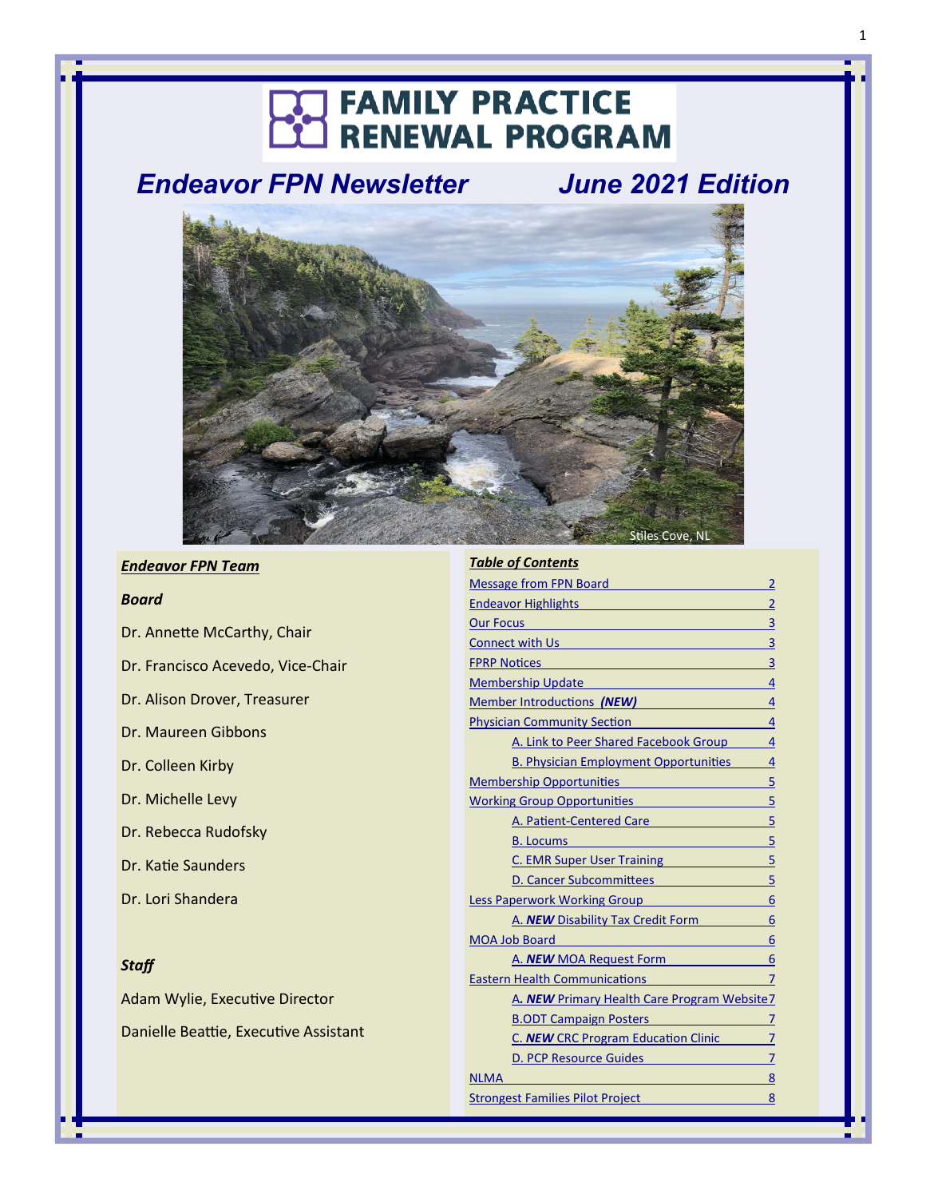# **THE FAMILY PRACTICE**<br>CC RENEWAL PROGRAM

*Endeavor FPN Newsletter June 2021 Edition*



#### *Endeavor FPN Team*

#### *Board*

Dr. Annette McCarthy, Chair Dr. Francisco Acevedo, Vice-Chair Dr. Alison Drover, Treasurer Dr. Maureen Gibbons Dr. Colleen Kirby Dr. Michelle Levy Dr. Rebecca Rudofsky Dr. Katie Saunders Dr. Lori Shandera

# *Staff*

Adam Wylie, Executive Director Danielle Beattie, Executive Assistant

#### *Table of Contents*

| <b>Message from FPN Board</b><br>$\overline{2}$                                                                                                                                                                                           |
|-------------------------------------------------------------------------------------------------------------------------------------------------------------------------------------------------------------------------------------------|
| $\overline{2}$<br><b>Endeavor Highlights</b>                                                                                                                                                                                              |
| 3<br>Our Focus <b>Contract Contract Contract Contract Contract Contract Contract Contract Contract Contract Contract Contract Contract Contract Contract Contract Contract Contract Contract Contract Contract Contract Contract Cont</b> |
| $\overline{3}$<br><b>Connect with Us and Service Connect with Us</b>                                                                                                                                                                      |
| 3<br><b>FPRP Notices</b>                                                                                                                                                                                                                  |
| <b>Membership Update</b><br>4                                                                                                                                                                                                             |
| Member Introductions (NEW)<br>$\overline{4}$                                                                                                                                                                                              |
| <b>Physician Community Section</b><br>4                                                                                                                                                                                                   |
| A. Link to Peer Shared Facebook Group<br>$\overline{4}$                                                                                                                                                                                   |
| $\overline{4}$<br><b>B. Physician Employment Opportunities</b>                                                                                                                                                                            |
| <b>Membership Opportunities</b><br>5<br><u> 1999 - Johann Barnett, fransk politiker (</u>                                                                                                                                                 |
| 5<br><b>Working Group Opportunities</b>                                                                                                                                                                                                   |
| 5<br>A. Patient-Centered Care                                                                                                                                                                                                             |
| 5<br><b>B.</b> Locums                                                                                                                                                                                                                     |
| 5<br>C. EMR Super User Training                                                                                                                                                                                                           |
| 5<br>D. Cancer Subcommittees                                                                                                                                                                                                              |
| 6<br>Less Paperwork Working Group                                                                                                                                                                                                         |
| 6<br>A. <b>NEW</b> Disability Tax Credit Form                                                                                                                                                                                             |
| 6<br><b>MOA Job Board</b><br><u> 1980 - Jan Barnett, fransk politik (</u>                                                                                                                                                                 |
| 6<br>A. <b>NEW</b> MOA Request Form                                                                                                                                                                                                       |
| <b>Eastern Health Communications</b><br>7                                                                                                                                                                                                 |
| A. NEW Primary Health Care Program Website7                                                                                                                                                                                               |
| <b>B.ODT Campaign Posters</b><br>7                                                                                                                                                                                                        |
| C. <b>NEW</b> CRC Program Education Clinic<br>7                                                                                                                                                                                           |
| D. PCP Resource Guides<br>7                                                                                                                                                                                                               |
| <b>NLMA</b><br>8                                                                                                                                                                                                                          |
| <b>Strongest Families Pilot Project</b><br>8                                                                                                                                                                                              |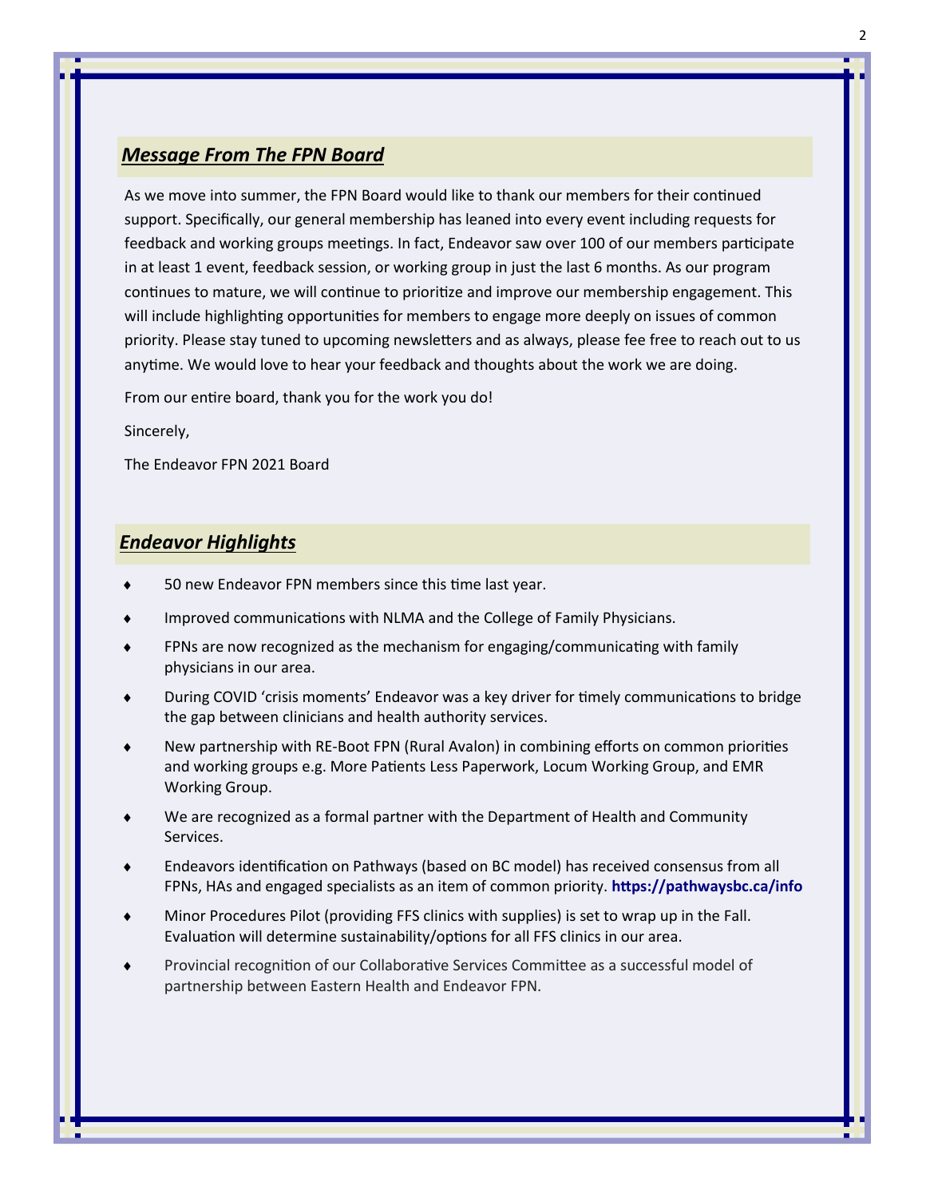# <span id="page-1-0"></span>*Message From The FPN Board*

As we move into summer, the FPN Board would like to thank our members for their continued support. Specifically, our general membership has leaned into every event including requests for feedback and working groups meetings. In fact, Endeavor saw over 100 of our members participate in at least 1 event, feedback session, or working group in just the last 6 months. As our program continues to mature, we will continue to prioritize and improve our membership engagement. This will include highlighting opportunities for members to engage more deeply on issues of common priority. Please stay tuned to upcoming newsletters and as always, please fee free to reach out to us anytime. We would love to hear your feedback and thoughts about the work we are doing.

From our entire board, thank you for the work you do!

Sincerely,

The Endeavor FPN 2021 Board

# *Endeavor Highlights*

- 50 new Endeavor FPN members since this time last year.
- Improved communications with NLMA and the College of Family Physicians.
- FPNs are now recognized as the mechanism for engaging/communicating with family physicians in our area.
- During COVID 'crisis moments' Endeavor was a key driver for timely communications to bridge the gap between clinicians and health authority services.
- New partnership with RE-Boot FPN (Rural Avalon) in combining efforts on common priorities and working groups e.g. More Patients Less Paperwork, Locum Working Group, and EMR Working Group.
- We are recognized as a formal partner with the Department of Health and Community Services.
- Endeavors identification on Pathways (based on BC model) has received consensus from all FPNs, HAs and engaged specialists as an item of common priority. **<https://pathwaysbc.ca/info>**
- Minor Procedures Pilot (providing FFS clinics with supplies) is set to wrap up in the Fall. Evaluation will determine sustainability/options for all FFS clinics in our area.
- Provincial recognition of our Collaborative Services Committee as a successful model of partnership between Eastern Health and Endeavor FPN.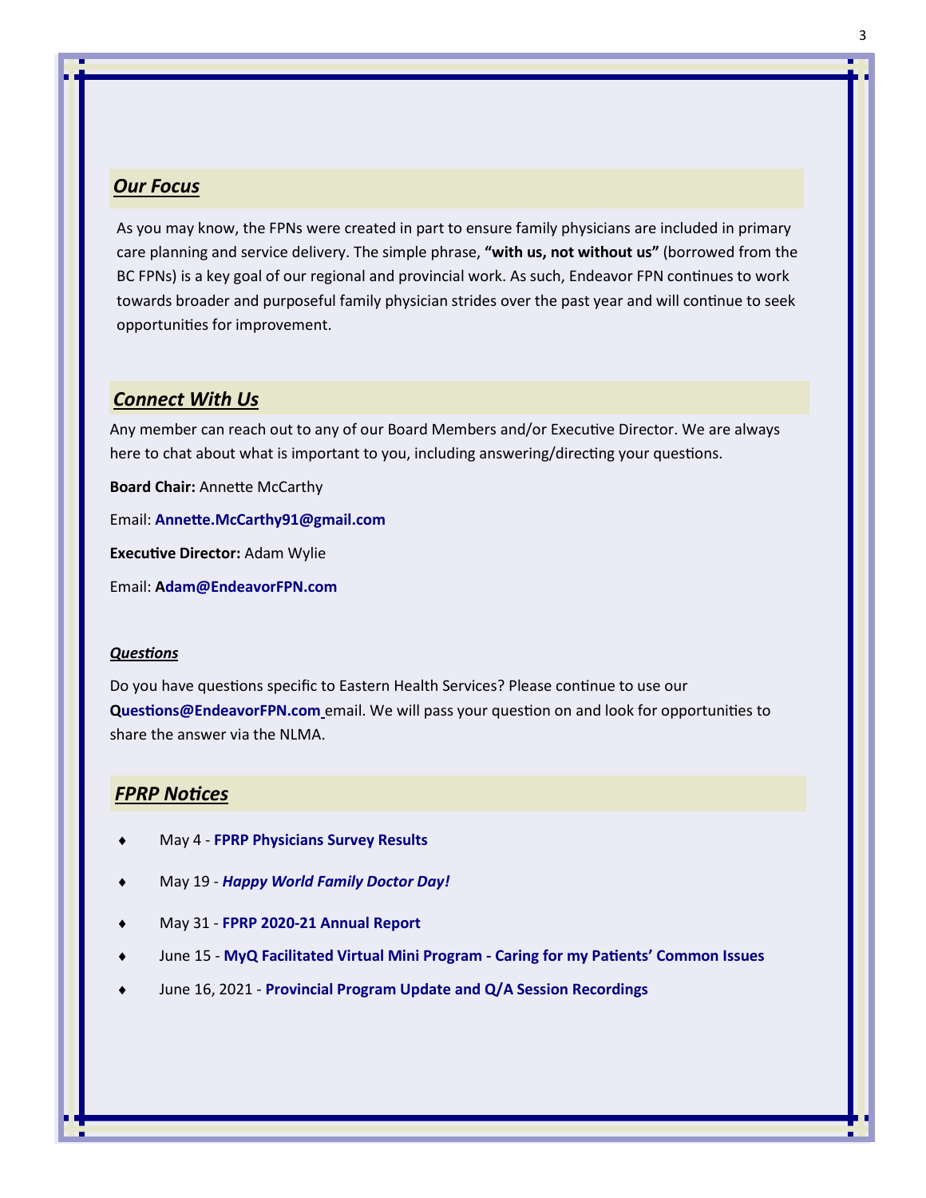### <span id="page-2-0"></span>*Our Focus*

As you may know, the FPNs were created in part to ensure family physicians are included in primary care planning and service delivery. The simple phrase, **"with us, not without us"** (borrowed from the BC FPNs) is a key goal of our regional and provincial work. As such, Endeavor FPN continues to work towards broader and purposeful family physician strides over the past year and will continue to seek opportunities for improvement.

#### *Connect With Us*

Any member can reach out to any of our Board Members and/or Executive Director. We are always here to chat about what is important to you, including answering/directing your questions.

**Board Chair:** Annette McCarthy

Email: **[Annette.McCarthy91@gmail.com](mailto:Annette.mccarthy91@gmail.com)**

**Executive Director:** Adam Wylie

Email: **[Adam@EndeavorFPN.com](mailto:adam@endeavorfpn.com)**

#### *Questions*

Do you have questions specific to Eastern Health Services? Please continue to use our **[Questions@EndeavorFPN.com](mailto:questions@endeavorfpn.com)** email. We will pass your question on and look for opportunities to share the answer via the NLMA.

#### *FPRP Notices*

- May 4 **[FPRP Physicians Survey Results](http://familypracticerenewalnl.ca/wp-content/uploads/2021/07/2021.04.01-FPRP-Physicians-Survey-Results.pdf)**
- May 19 *[Happy World Family Doctor Day!](http://familypracticerenewalnl.ca/wp-content/uploads/2021/07/2021.05.19-Happy-World-Family-Doctor-Day.pdf)*
- May 31 **FPRP 2020-[21 Annual Report](http://familypracticerenewalnl.ca/wp-content/uploads/2021/07/2021.05.31-2020-21-FPRP-Annual-Report.pdf)**
- June 15 **[MyQ Facilitated Virtual Mini Program](http://familypracticerenewalnl.ca/wp-content/uploads/2021/07/2021.06.15-MyQ-Facilitated-Virtual-Mini-Program.pdf) - Caring for my Patients' Common Issues**
- June 16, 2021 **[Provincial Program Update and Q/A Session Recordings](http://familypracticerenewalnl.ca/wp-content/uploads/2021/07/2021.06.15-Provincial-Program-Update-and-Q-A-Session-Recordings.pdf)**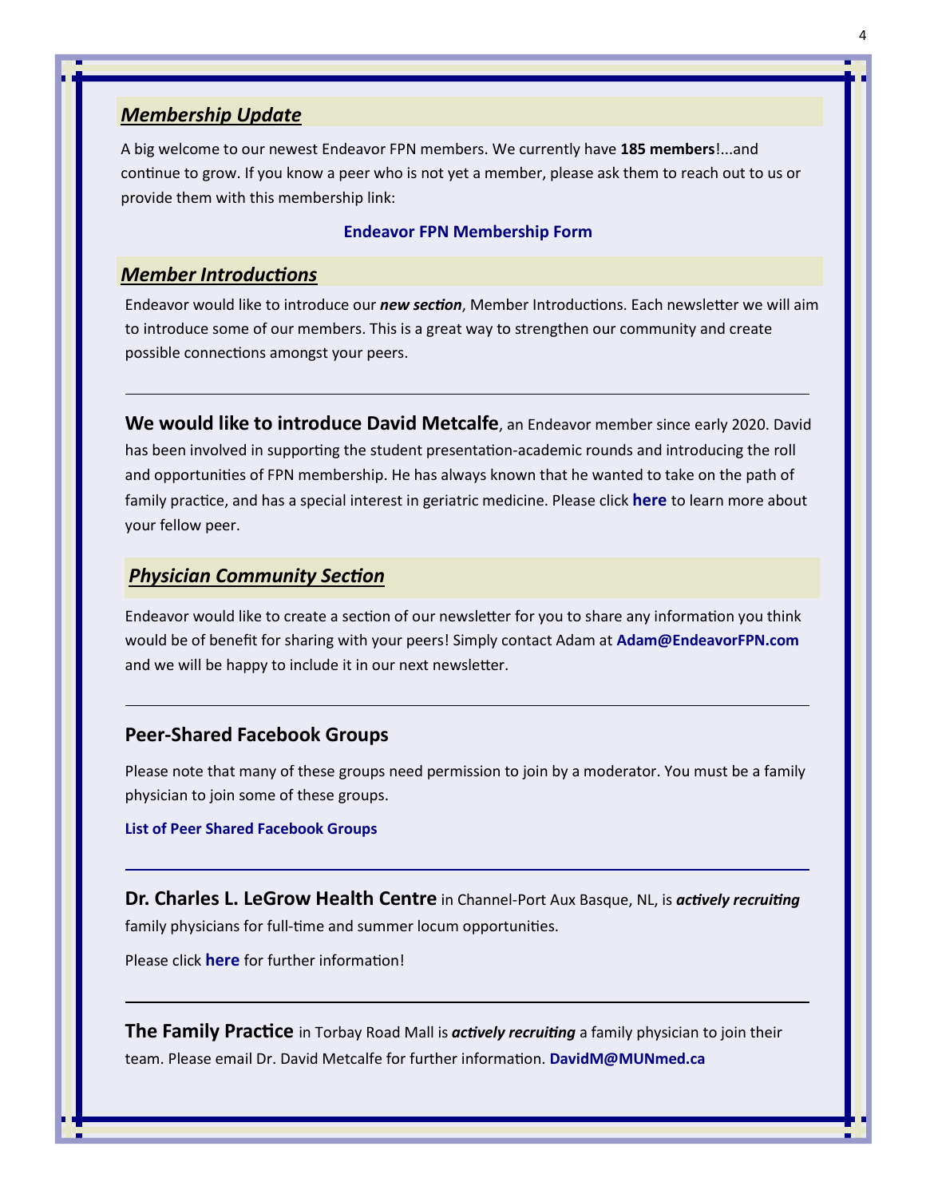# <span id="page-3-0"></span>*Membership Update*

A big welcome to our newest Endeavor FPN members. We currently have **185 members**!...and continue to grow. If you know a peer who is not yet a member, please ask them to reach out to us or provide them with this membership link:

#### **[Endeavor FPN Membership Form](https://nlmaforms.formstack.com/forms/fpnmembershipapplication?selection=Endeavor%20FPN)**

# *Member Introductions*

Endeavor would like to introduce our *new section*, Member Introductions. Each newsletter we will aim to introduce some of our members. This is a great way to strengthen our community and create possible connections amongst your peers.

**We would like to introduce David Metcalfe**, an Endeavor member since early 2020. David has been involved in supporting the student presentation-academic rounds and introducing the roll and opportunities of FPN membership. He has always known that he wanted to take on the path of family practice, and has a special interest in geriatric medicine. Please click **[here](http://familypracticerenewalnl.ca/wp-content/uploads/2021/07/David-Metcalfe.pdf)** to learn more about your fellow peer.

# *Physician Community Section*

Endeavor would like to create a section of our newsletter for you to share any information you think would be of benefit for sharing with your peers! Simply contact Adam at **[Adam@EndeavorFPN.com](mailto:adam@endeavorfpn.com)** and we will be happy to include it in our next newsletter.

#### **Peer-Shared Facebook Groups**

Please note that many of these groups need permission to join by a moderator. You must be a family physician to join some of these groups.

#### **[List of Peer Shared Facebook Groups](https://docs.google.com/document/d/14GcjwC8rLTlvjN6SMQAZJNa0fvU8t8-E5VgzZQU_rac/edit)**

**Dr. Charles L. LeGrow Health Centre** in Channel-Port Aux Basque, NL, is *actively recruiting* family physicians for full-time and summer locum opportunities.

Please click **[here](http://familypracticerenewalnl.ca/wp-content/uploads/2021/06/Join-our-Team.pdf)** for further information!

**The Family Practice** in Torbay Road Mall is *actively recruiting* a family physician to join their team. Please email Dr. David Metcalfe for further information. **[DavidM@MUNmed.ca](mailto:davidm@munmed.ca)**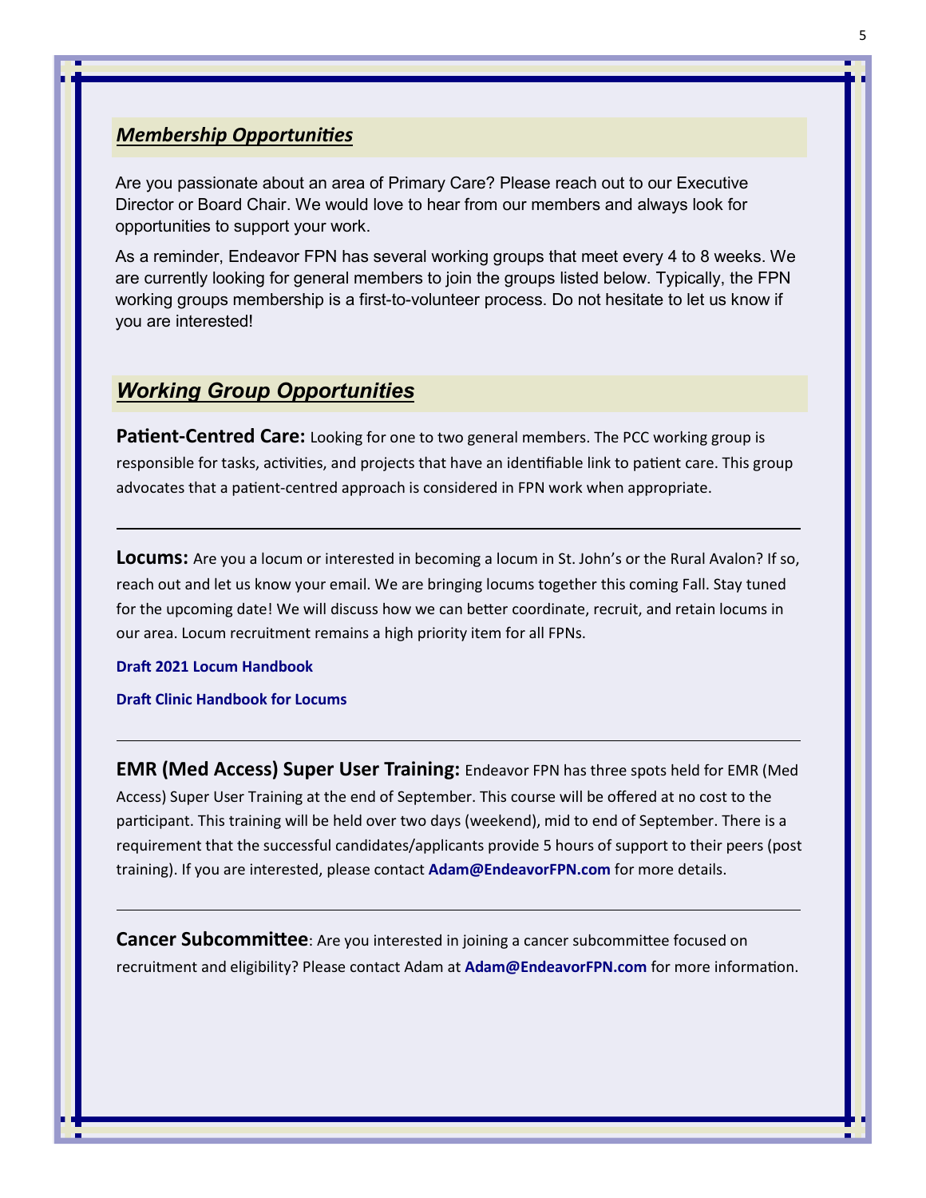# <span id="page-4-0"></span>*Membership Opportunities*

Are you passionate about an area of Primary Care? Please reach out to our Executive Director or Board Chair. We would love to hear from our members and always look for opportunities to support your work.

As a reminder, Endeavor FPN has several working groups that meet every 4 to 8 weeks. We are currently looking for general members to join the groups listed below. Typically, the FPN working groups membership is a first-to-volunteer process. Do not hesitate to let us know if you are interested!

# *Working Group Opportunities*

**Patient-Centred Care:** Looking for one to two general members. The PCC working group is responsible for tasks, activities, and projects that have an identifiable link to patient care. This group advocates that a patient-centred approach is considered in FPN work when appropriate.

**Locums:** Are you a locum or interested in becoming a locum in St. John's or the Rural Avalon? If so, reach out and let us know your email. We are bringing locums together this coming Fall. Stay tuned for the upcoming date! We will discuss how we can better coordinate, recruit, and retain locums in our area. Locum recruitment remains a high priority item for all FPNs.

#### **[Draft 2021 Locum Handbook](https://docs.google.com/document/d/1WVZd8tDm8UYLthVQ-pxwllFOw5wGct6IN1gjPPEuShc/edit)**

#### **[Draft Clinic Handbook for Locums](https://docs.google.com/document/d/1DnMKfrgR8oV_ng5IZ7qMBVtQxKU3cTzdUiC9JeRQXCo/edit)**

**EMR (Med Access) Super User Training:** Endeavor FPN has three spots held for EMR (Med Access) Super User Training at the end of September. This course will be offered at no cost to the participant. This training will be held over two days (weekend), mid to end of September. There is a requirement that the successful candidates/applicants provide 5 hours of support to their peers (post training). If you are interested, please contact **[Adam@EndeavorFPN.com](mailto:adam@endeavorfpn.com)** for more details.

**Cancer Subcommittee**: Are you interested in joining a cancer subcommittee focused on recruitment and eligibility? Please contact Adam at **[Adam@EndeavorFPN.com](mailto:adam@endeavorfpn.com)** for more information.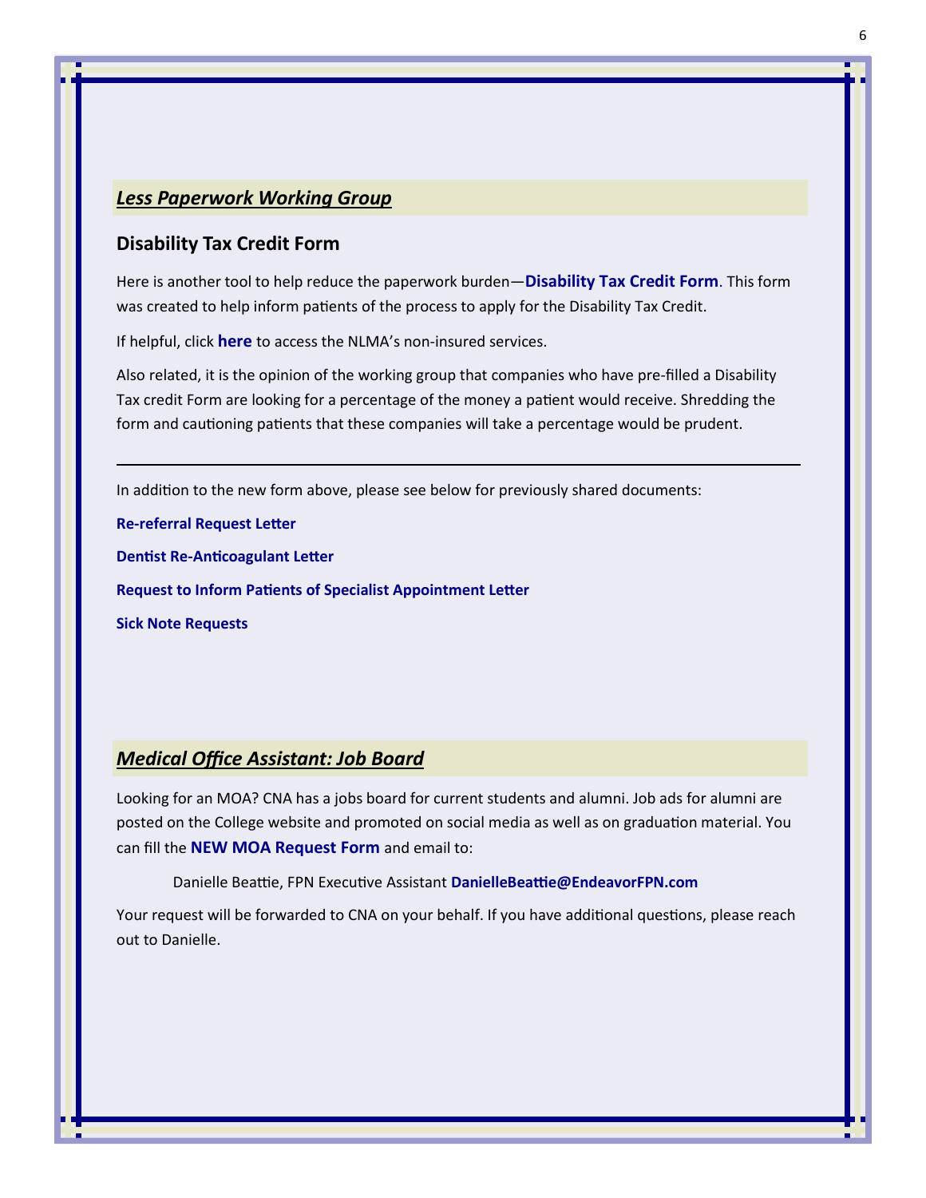# <span id="page-5-0"></span>*Less Paperwork Working Group*

## **Disability Tax Credit Form**

Here is another tool to help reduce the paperwork burden—**[Disability Tax Credit Form](http://familypracticerenewalnl.ca/wp-content/uploads/2021/06/2021.06.28-Disability-Tax-Credit-Form-1.pdf)**. This form was created to help inform patients of the process to apply for the Disability Tax Credit.

If helpful, click **[here](https://www.nlma.nl.ca/FileManager/Publications/Guides/nlma-physicians-guide-to-non-insured-service-june-2018.pdf)** to access the NLMA's non-insured services.

Also related, it is the opinion of the working group that companies who have pre-filled a Disability Tax credit Form are looking for a percentage of the money a patient would receive. Shredding the form and cautioning patients that these companies will take a percentage would be prudent.

In addition to the new form above, please see below for previously shared documents:

**Re-[referral Request Letter](http://familypracticerenewalnl.ca/wp-content/uploads/2021/03/2020.12.02-EXAMPLE-Re-referral-request.pdf)**

**Dentist Re-[Anticoagulant Letter](http://familypracticerenewalnl.ca/wp-content/uploads/2020/12/2020.12.02_EXAMPLE_Dentist_re_anticoagulant.pdf)**

**[Request to Inform Patients of Specialist Appointment Letter](http://familypracticerenewalnl.ca/wp-content/uploads/2020/12/2020.12.02_EXAMPLE_Request_to_inform_patient_of_specialist_appt.pdf)**

**[Sick Note Requests](http://familypracticerenewalnl.ca/wp-content/uploads/2021/03/2021.03.16_EXAMPLE_letter_Sick_Note.pdf)**

# *Medical Office Assistant: Job Board*

Looking for an MOA? CNA has a jobs board for current students and alumni. Job ads for alumni are posted on the College website and promoted on social media as well as on graduation material. You can fill the **[NEW MOA Request Form](http://familypracticerenewalnl.ca/wp-content/uploads/2021/07/MOA-Request-Form.pdf)** and email to:

Danielle Beattie, FPN Executive Assistant **[DanielleBeattie@EndeavorFPN.com](mailto:DanielleBeattie@EndeavorFPN.com)**

Your request will be forwarded to CNA on your behalf. If you have additional questions, please reach out to Danielle.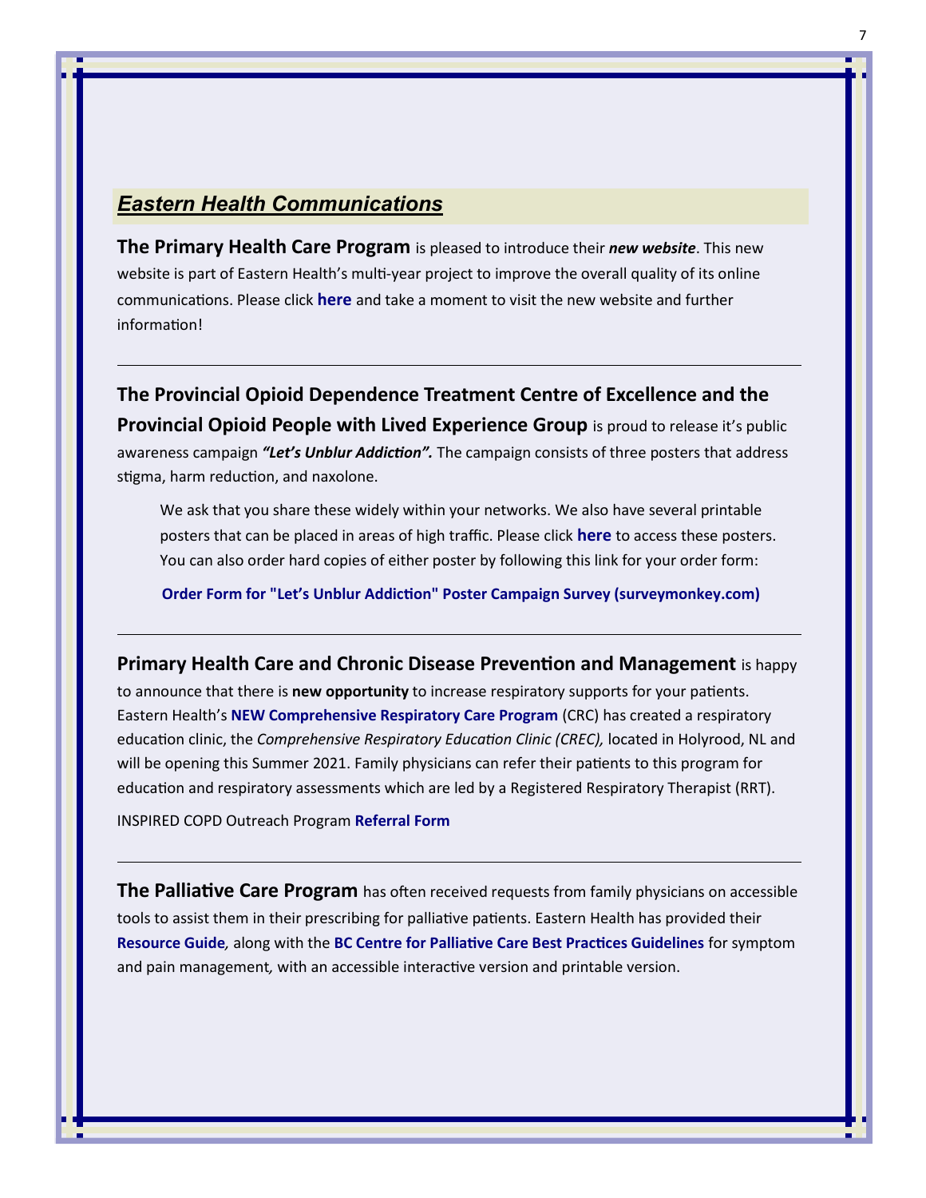# <span id="page-6-0"></span>*Eastern Health Communications*

**The Primary Health Care Program** is pleased to introduce their *new website*. This new website is part of Eastern Health's multi-year project to improve the overall quality of its online communications. Please click **[here](https://phc.easternhealth.ca/)** and take a moment to visit the new website and further information!

**The Provincial Opioid Dependence Treatment Centre of Excellence and the Provincial Opioid People with Lived Experience Group** is proud to release it's public awareness campaign *"Let's Unblur Addiction".* The campaign consists of three posters that address stigma, harm reduction, and naxolone.

We ask that you share these widely within your networks. We also have several printable posters that can be placed in areas of high traffic. Please click **[here](http://familypracticerenewalnl.ca/wp-content/uploads/2021/06/POS_Opioid_Posters.pdf)** to access these posters. You can also order hard copies of either poster by following this link for your order form:

**Order Form for "Let'[s Unblur Addiction" Poster Campaign Survey \(surveymonkey.com\)](https://www.surveymonkey.com/r/PosterOrderForm)**

#### **Primary Health Care and Chronic Disease Prevention and Management** is happy

to announce that there is **new opportunity** to increase respiratory supports for your patients. Eastern Health's **[NEW Comprehensive Respiratory Care Program](http://familypracticerenewalnl.ca/wp-content/uploads/2021/07/CREC-FPN.pdf)** (CRC) has created a respiratory education clinic, the *Comprehensive Respiratory Education Clinic (CREC),* located in Holyrood, NL and will be opening this Summer 2021. Family physicians can refer their patients to this program for education and respiratory assessments which are led by a Registered Respiratory Therapist (RRT).

INSPIRED COPD Outreach Program **[Referral Form](http://familypracticerenewalnl.ca/wp-content/uploads/2021/04/INSPIRED_Referrals_Fall_2020.pdf)**

**The Palliative Care Program** has often received requests from family physicians on accessible tools to assist them in their prescribing for palliative patients. Eastern Health has provided their **[Resource Guide](http://familypracticerenewalnl.ca/wp-content/uploads/2021/07/Palliative-Care-Resource-Guide-Updated-MARCH-2021.pdf)***,* along with the **[BC Centre for Palliative Care Best Practices Guidelines](https://bc-cpc.ca/publications/symptom-management-guidelines/)** for symptom and pain management*,* with an accessible interactive version and printable version.